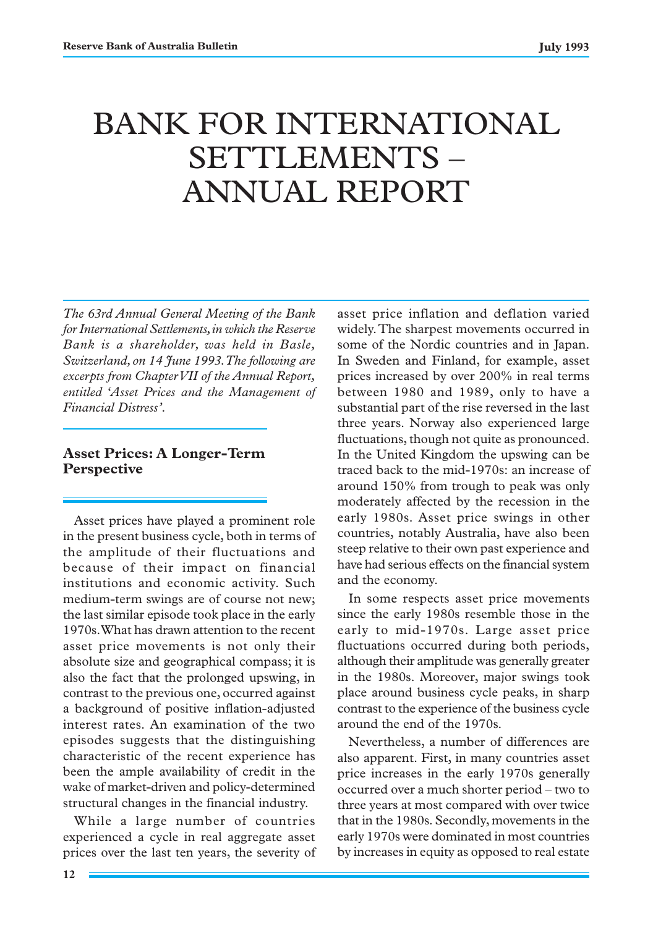# BANK FOR INTERNATIONAL SETTLEMENTS – ANNUAL REPORT

*The 63rd Annual General Meeting of the Bank for International Settlements, in which the Reserve Bank is a shareholder, was held in Basle, Switzerland, on 14 June 1993. The following are excerpts from Chapter VII of the Annual Report, entitled 'Asset Prices and the Management of Financial Distress'.*

## **Asset Prices: A Longer-Term Perspective**

Asset prices have played a prominent role in the present business cycle, both in terms of the amplitude of their fluctuations and because of their impact on financial institutions and economic activity. Such medium-term swings are of course not new; the last similar episode took place in the early 1970s. What has drawn attention to the recent asset price movements is not only their absolute size and geographical compass; it is also the fact that the prolonged upswing, in contrast to the previous one, occurred against a background of positive inflation-adjusted interest rates. An examination of the two episodes suggests that the distinguishing characteristic of the recent experience has been the ample availability of credit in the wake of market-driven and policy-determined structural changes in the financial industry.

While a large number of countries experienced a cycle in real aggregate asset prices over the last ten years, the severity of asset price inflation and deflation varied widely. The sharpest movements occurred in some of the Nordic countries and in Japan. In Sweden and Finland, for example, asset prices increased by over 200% in real terms between 1980 and 1989, only to have a substantial part of the rise reversed in the last three years. Norway also experienced large fluctuations, though not quite as pronounced. In the United Kingdom the upswing can be traced back to the mid-1970s: an increase of around 150% from trough to peak was only moderately affected by the recession in the early 1980s. Asset price swings in other countries, notably Australia, have also been steep relative to their own past experience and have had serious effects on the financial system and the economy.

In some respects asset price movements since the early 1980s resemble those in the early to mid-1970s. Large asset price fluctuations occurred during both periods, although their amplitude was generally greater in the 1980s. Moreover, major swings took place around business cycle peaks, in sharp contrast to the experience of the business cycle around the end of the 1970s.

Nevertheless, a number of differences are also apparent. First, in many countries asset price increases in the early 1970s generally occurred over a much shorter period – two to three years at most compared with over twice that in the 1980s. Secondly, movements in the early 1970s were dominated in most countries by increases in equity as opposed to real estate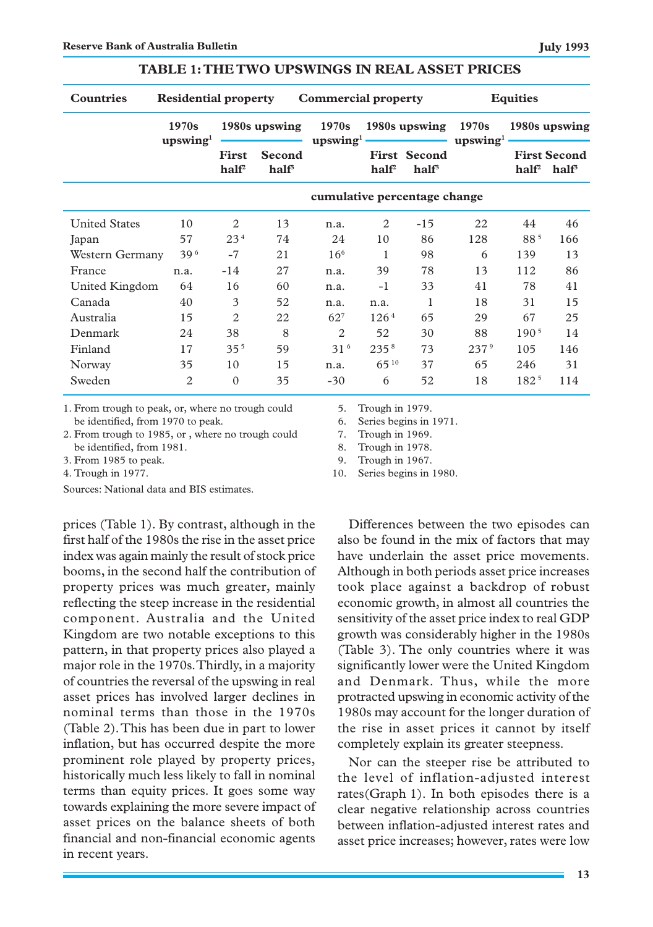| <b>Countries</b>     | <b>Residential property</b>   |                                                                                                                                                                                                                                                                                 |                             | <b>Commercial property</b> |                                                                                                                                                                                                                                                       |                                          | <b>Equities</b>  |                  |                                                            |
|----------------------|-------------------------------|---------------------------------------------------------------------------------------------------------------------------------------------------------------------------------------------------------------------------------------------------------------------------------|-----------------------------|----------------------------|-------------------------------------------------------------------------------------------------------------------------------------------------------------------------------------------------------------------------------------------------------|------------------------------------------|------------------|------------------|------------------------------------------------------------|
|                      | 1970s<br>upswing <sup>1</sup> | 1970s<br>1980s upswing<br>upswing $1$ –<br><u> The Communication of the Communication of the Communication of the Communication of the Communication of the Communication of the Communication of the Communication of the Communication of the Communication of the Commun</u> |                             |                            | 1980s upswing<br><u> The Communication of the Communication of the Communication of the Communication of the Communication of the Communication of the Communication of the Communication of the Communication of the Communication of the Commun</u> | 1970s<br>upswing <sup>1</sup>            | 1980s upswing    |                  |                                                            |
|                      |                               |                                                                                                                                                                                                                                                                                 | Second<br>half <sup>s</sup> |                            | half <sup>2</sup>                                                                                                                                                                                                                                     | <b>First Second</b><br>half <sup>3</sup> |                  |                  | <b>First Second</b><br>half <sup>2</sup> half <sup>3</sup> |
|                      |                               | cumulative percentage change                                                                                                                                                                                                                                                    |                             |                            |                                                                                                                                                                                                                                                       |                                          |                  |                  |                                                            |
| <b>United States</b> | 10                            | 2                                                                                                                                                                                                                                                                               | 13                          | n.a.                       | 2                                                                                                                                                                                                                                                     | $-15$                                    | 22               | 44               | 46                                                         |
| Japan                | 57                            | 23 <sup>4</sup>                                                                                                                                                                                                                                                                 | 74                          | 24                         | 10                                                                                                                                                                                                                                                    | 86                                       | 128              | 88 <sup>5</sup>  | 166                                                        |
| Western Germany      | 396                           | $-7$                                                                                                                                                                                                                                                                            | 21                          | 16 <sup>6</sup>            | 1                                                                                                                                                                                                                                                     | 98                                       | 6                | 139              | 13                                                         |
| France               | n.a.                          | $-14$                                                                                                                                                                                                                                                                           | 27                          | n.a.                       | 39                                                                                                                                                                                                                                                    | 78                                       | 13               | 112              | 86                                                         |
| United Kingdom       | 64                            | 16                                                                                                                                                                                                                                                                              | 60                          | n.a.                       | $-1$                                                                                                                                                                                                                                                  | 33                                       | 41               | 78               | 41                                                         |
| Canada               | 40                            | 3                                                                                                                                                                                                                                                                               | 52                          | n.a.                       | n.a.                                                                                                                                                                                                                                                  | -1                                       | 18               | 31               | 15                                                         |
| Australia            | 15                            | $\overline{c}$                                                                                                                                                                                                                                                                  | 22                          | $62^{7}$                   | 126 <sup>4</sup>                                                                                                                                                                                                                                      | 65                                       | 29               | 67               | 25                                                         |
| Denmark              | 24                            | 38                                                                                                                                                                                                                                                                              | 8                           | $\overline{c}$             | 52                                                                                                                                                                                                                                                    | 30                                       | 88               | 190 <sup>5</sup> | 14                                                         |
| Finland              | 17                            | $35^{5}$                                                                                                                                                                                                                                                                        | 59                          | 31 <sup>6</sup>            | 235 <sup>8</sup>                                                                                                                                                                                                                                      | 73                                       | 237 <sup>9</sup> | 105              | 146                                                        |
| Norway               | 35                            | 10                                                                                                                                                                                                                                                                              | 15                          | n.a.                       | $65^{10}$                                                                                                                                                                                                                                             | 37                                       | 65               | 246              | 31                                                         |
| Sweden               | $\overline{c}$                | $\Omega$                                                                                                                                                                                                                                                                        | 35                          | $-30$                      | 6                                                                                                                                                                                                                                                     | 52                                       | 18               | 182 <sup>5</sup> | 114                                                        |

#### **TABLE 1: THE TWO UPSWINGS IN REAL ASSET PRICES**

1. From trough to peak, or, where no trough could 5. Trough in 1979. be identified, from 1970 to peak. 6. Series begins in 1971.

2. From trough to 1985, or , where no trough could 7. Trough in 1969. be identified, from 1981. 8. Trough in 1978.

3. From 1985 to peak. 9. Trough in 1967.

Sources: National data and BIS estimates.

prices (Table 1). By contrast, although in the first half of the 1980s the rise in the asset price index was again mainly the result of stock price booms, in the second half the contribution of property prices was much greater, mainly reflecting the steep increase in the residential component. Australia and the United Kingdom are two notable exceptions to this pattern, in that property prices also played a major role in the 1970s. Thirdly, in a majority of countries the reversal of the upswing in real asset prices has involved larger declines in nominal terms than those in the 1970s (Table 2). This has been due in part to lower inflation, but has occurred despite the more prominent role played by property prices, historically much less likely to fall in nominal terms than equity prices. It goes some way towards explaining the more severe impact of asset prices on the balance sheets of both financial and non-financial economic agents in recent years.

- 
- 
- 

4. Trough in 1977. 10. Series begins in 1980.

Differences between the two episodes can also be found in the mix of factors that may have underlain the asset price movements. Although in both periods asset price increases took place against a backdrop of robust economic growth, in almost all countries the sensitivity of the asset price index to real GDP growth was considerably higher in the 1980s (Table 3). The only countries where it was significantly lower were the United Kingdom and Denmark. Thus, while the more protracted upswing in economic activity of the 1980s may account for the longer duration of the rise in asset prices it cannot by itself completely explain its greater steepness.

Nor can the steeper rise be attributed to the level of inflation-adjusted interest rates(Graph 1). In both episodes there is a clear negative relationship across countries between inflation-adjusted interest rates and asset price increases; however, rates were low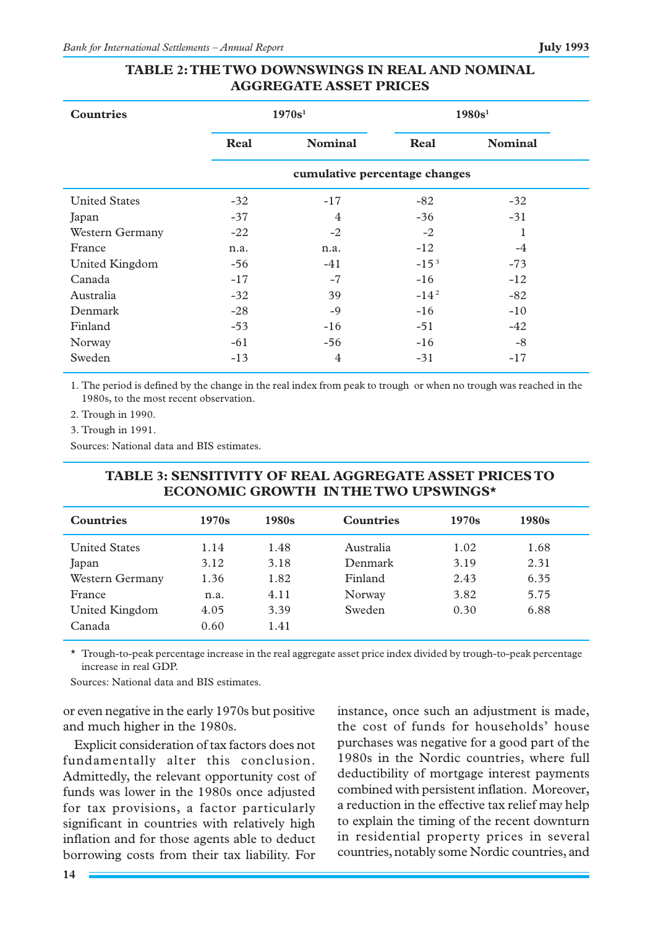# **TABLE 2: THE TWO DOWNSWINGS IN REAL AND NOMINAL AGGREGATE ASSET PRICES**

| Countries            |       | 1970s <sup>1</sup>            | 1980s <sup>1</sup> |                |  |  |  |
|----------------------|-------|-------------------------------|--------------------|----------------|--|--|--|
|                      | Real  | <b>Nominal</b>                | Real               | <b>Nominal</b> |  |  |  |
|                      |       | cumulative percentage changes |                    |                |  |  |  |
| <b>United States</b> | $-32$ | $-17$                         | $-82$              | $-32$          |  |  |  |
| Japan                | $-37$ | 4                             | $-36$              | $-31$          |  |  |  |
| Western Germany      | $-22$ | $-2$                          | $-2$               | 1              |  |  |  |
| France               | n.a.  | n.a.                          | $-12$              | $-4$           |  |  |  |
| United Kingdom       | $-56$ | $-41$                         | $-153$             | $-73$          |  |  |  |
| Canada               | $-17$ | $-7$                          | $-16$              | $-12$          |  |  |  |
| Australia            | $-32$ | 39                            | $-14^{2}$          | $-82$          |  |  |  |
| Denmark              | $-28$ | $-9$                          | $-16$              | $-10$          |  |  |  |
| Finland              | $-53$ | $-16$                         | $-51$              | $-42$          |  |  |  |
| Norway               | $-61$ | $-56$                         | $-16$              | $-8$           |  |  |  |
| Sweden               | $-13$ | 4                             | $-31$              | $-17$          |  |  |  |

1. The period is defined by the change in the real index from peak to trough or when no trough was reached in the 1980s, to the most recent observation.

2. Trough in 1990.

3. Trough in 1991.

Sources: National data and BIS estimates.

| 1970s | 1980s | <b>Countries</b> | 1970s | 1980s |  |
|-------|-------|------------------|-------|-------|--|
| 1.14  | 1.48  | Australia        | 1.02  | 1.68  |  |
| 3.12  | 3.18  | Denmark          | 3.19  | 2.31  |  |
| 1.36  | 1.82  | Finland          | 2.43  | 6.35  |  |
| n.a.  | 4.11  | Norway           | 3.82  | 5.75  |  |
| 4.05  | 3.39  | Sweden           | 0.30  | 6.88  |  |
| 0.60  | 1.41  |                  |       |       |  |
|       |       |                  |       |       |  |

# **TABLE 3: SENSITIVITY OF REAL AGGREGATE ASSET PRICES TO ECONOMIC GROWTH IN THE TWO UPSWINGS\***

\* Trough-to-peak percentage increase in the real aggregate asset price index divided by trough-to-peak percentage increase in real GDP.

Sources: National data and BIS estimates.

or even negative in the early 1970s but positive and much higher in the 1980s.

Explicit consideration of tax factors does not fundamentally alter this conclusion. Admittedly, the relevant opportunity cost of funds was lower in the 1980s once adjusted for tax provisions, a factor particularly significant in countries with relatively high inflation and for those agents able to deduct borrowing costs from their tax liability. For instance, once such an adjustment is made, the cost of funds for households' house purchases was negative for a good part of the 1980s in the Nordic countries, where full deductibility of mortgage interest payments combined with persistent inflation. Moreover, a reduction in the effective tax relief may help to explain the timing of the recent downturn in residential property prices in several countries, notably some Nordic countries, and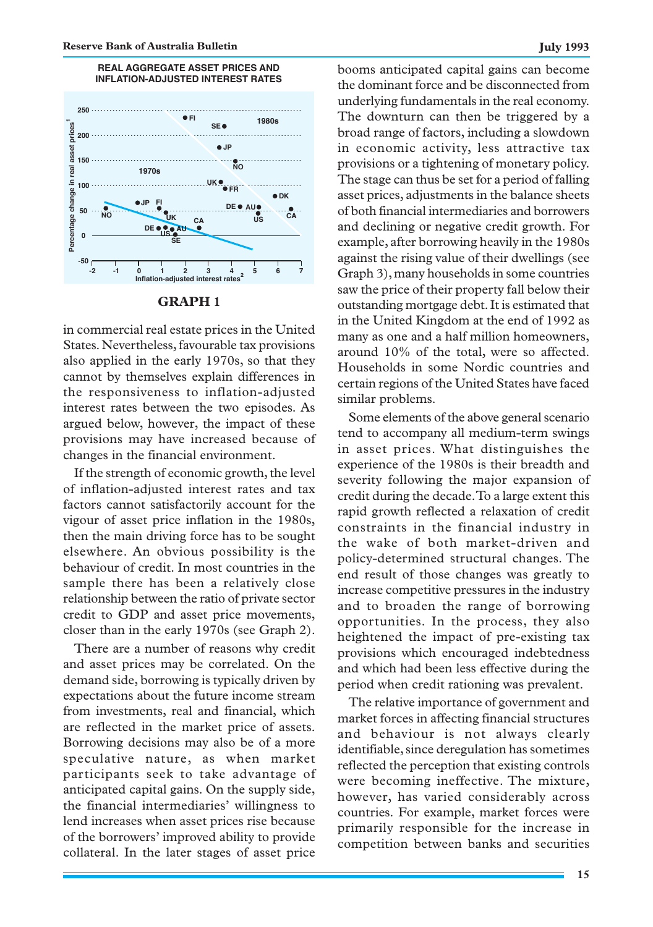



## **GRAPH 1**

in commercial real estate prices in the United States. Nevertheless, favourable tax provisions also applied in the early 1970s, so that they cannot by themselves explain differences in the responsiveness to inflation-adjusted interest rates between the two episodes. As argued below, however, the impact of these provisions may have increased because of changes in the financial environment.

If the strength of economic growth, the level of inflation-adjusted interest rates and tax factors cannot satisfactorily account for the vigour of asset price inflation in the 1980s, then the main driving force has to be sought elsewhere. An obvious possibility is the behaviour of credit. In most countries in the sample there has been a relatively close relationship between the ratio of private sector credit to GDP and asset price movements, closer than in the early 1970s (see Graph 2).

There are a number of reasons why credit and asset prices may be correlated. On the demand side, borrowing is typically driven by expectations about the future income stream from investments, real and financial, which are reflected in the market price of assets. Borrowing decisions may also be of a more speculative nature, as when market participants seek to take advantage of anticipated capital gains. On the supply side, the financial intermediaries' willingness to lend increases when asset prices rise because of the borrowers' improved ability to provide collateral. In the later stages of asset price

booms anticipated capital gains can become the dominant force and be disconnected from underlying fundamentals in the real economy. The downturn can then be triggered by a broad range of factors, including a slowdown in economic activity, less attractive tax provisions or a tightening of monetary policy. The stage can thus be set for a period of falling asset prices, adjustments in the balance sheets of both financial intermediaries and borrowers and declining or negative credit growth. For example, after borrowing heavily in the 1980s against the rising value of their dwellings (see Graph 3), many households in some countries saw the price of their property fall below their outstanding mortgage debt. It is estimated that in the United Kingdom at the end of 1992 as many as one and a half million homeowners, around 10% of the total, were so affected. Households in some Nordic countries and certain regions of the United States have faced similar problems.

Some elements of the above general scenario tend to accompany all medium-term swings in asset prices. What distinguishes the experience of the 1980s is their breadth and severity following the major expansion of credit during the decade. To a large extent this rapid growth reflected a relaxation of credit constraints in the financial industry in the wake of both market-driven and policy-determined structural changes. The end result of those changes was greatly to increase competitive pressures in the industry and to broaden the range of borrowing opportunities. In the process, they also heightened the impact of pre-existing tax provisions which encouraged indebtedness and which had been less effective during the period when credit rationing was prevalent.

The relative importance of government and market forces in affecting financial structures and behaviour is not always clearly identifiable, since deregulation has sometimes reflected the perception that existing controls were becoming ineffective. The mixture, however, has varied considerably across countries. For example, market forces were primarily responsible for the increase in competition between banks and securities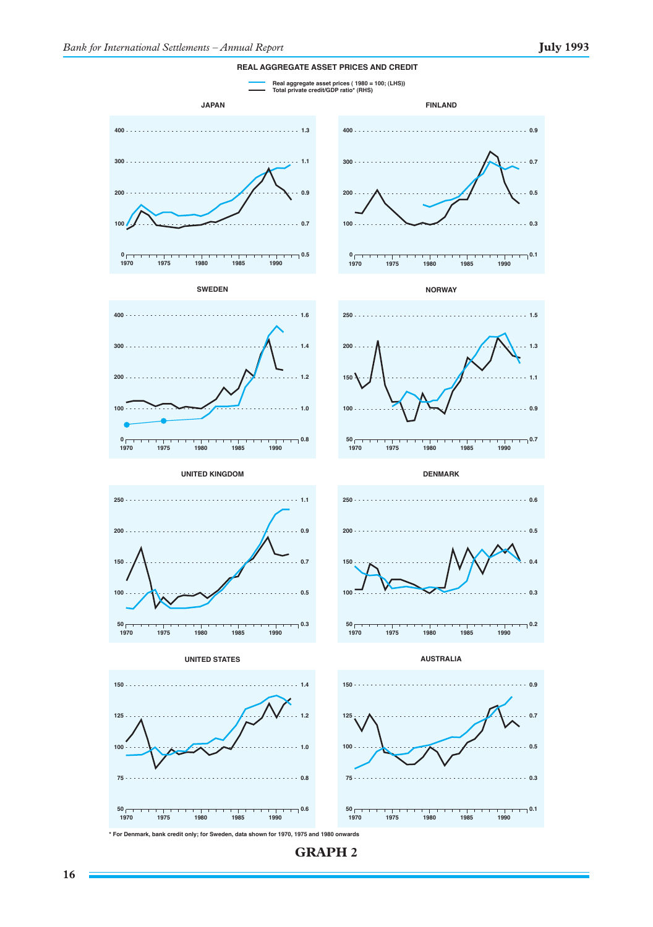

**\* For Denmark, bank credit only; for Sweden, data shown for 1970, 1975 and 1980 onwards**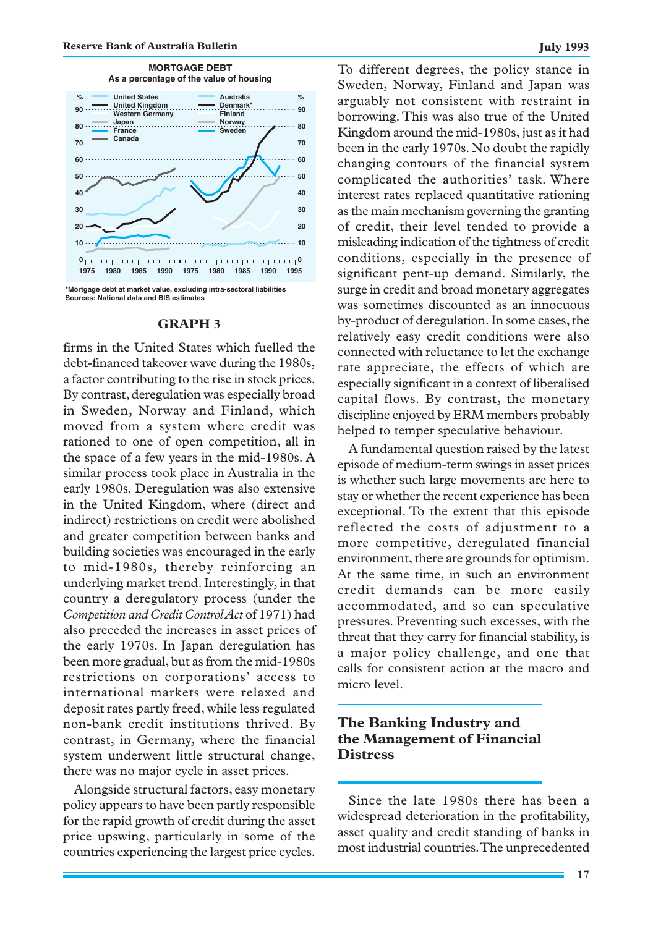

**\*Mortgage debt at market value, excluding intra-sectoral liabilities Sources: National data and BIS estimates**

#### **GRAPH 3**

firms in the United States which fuelled the debt-financed takeover wave during the 1980s, a factor contributing to the rise in stock prices. By contrast, deregulation was especially broad in Sweden, Norway and Finland, which moved from a system where credit was rationed to one of open competition, all in the space of a few years in the mid-1980s. A similar process took place in Australia in the early 1980s. Deregulation was also extensive in the United Kingdom, where (direct and indirect) restrictions on credit were abolished and greater competition between banks and building societies was encouraged in the early to mid-1980s, thereby reinforcing an underlying market trend. Interestingly, in that country a deregulatory process (under the *Competition and Credit Control Act* of 1971) had also preceded the increases in asset prices of the early 1970s. In Japan deregulation has been more gradual, but as from the mid-1980s restrictions on corporations' access to international markets were relaxed and deposit rates partly freed, while less regulated non-bank credit institutions thrived. By contrast, in Germany, where the financial system underwent little structural change, there was no major cycle in asset prices.

Alongside structural factors, easy monetary policy appears to have been partly responsible for the rapid growth of credit during the asset price upswing, particularly in some of the countries experiencing the largest price cycles.

To different degrees, the policy stance in Sweden, Norway, Finland and Japan was arguably not consistent with restraint in borrowing. This was also true of the United Kingdom around the mid-1980s, just as it had been in the early 1970s. No doubt the rapidly changing contours of the financial system complicated the authorities' task. Where interest rates replaced quantitative rationing as the main mechanism governing the granting of credit, their level tended to provide a misleading indication of the tightness of credit conditions, especially in the presence of significant pent-up demand. Similarly, the surge in credit and broad monetary aggregates was sometimes discounted as an innocuous by-product of deregulation. In some cases, the relatively easy credit conditions were also connected with reluctance to let the exchange rate appreciate, the effects of which are especially significant in a context of liberalised capital flows. By contrast, the monetary discipline enjoyed by ERM members probably helped to temper speculative behaviour.

A fundamental question raised by the latest episode of medium-term swings in asset prices is whether such large movements are here to stay or whether the recent experience has been exceptional. To the extent that this episode reflected the costs of adjustment to a more competitive, deregulated financial environment, there are grounds for optimism. At the same time, in such an environment credit demands can be more easily accommodated, and so can speculative pressures. Preventing such excesses, with the threat that they carry for financial stability, is a major policy challenge, and one that calls for consistent action at the macro and micro level.

## **The Banking Industry and the Management of Financial Distress**

Since the late 1980s there has been a widespread deterioration in the profitability, asset quality and credit standing of banks in most industrial countries. The unprecedented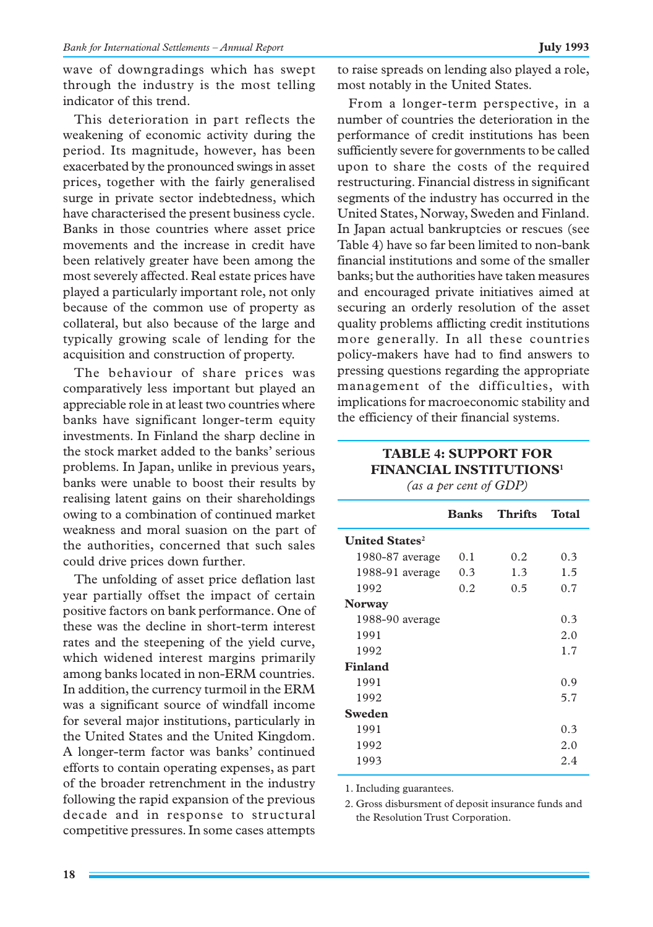wave of downgradings which has swept through the industry is the most telling indicator of this trend.

This deterioration in part reflects the weakening of economic activity during the period. Its magnitude, however, has been exacerbated by the pronounced swings in asset prices, together with the fairly generalised surge in private sector indebtedness, which have characterised the present business cycle. Banks in those countries where asset price movements and the increase in credit have been relatively greater have been among the most severely affected. Real estate prices have played a particularly important role, not only because of the common use of property as collateral, but also because of the large and typically growing scale of lending for the acquisition and construction of property.

The behaviour of share prices was comparatively less important but played an appreciable role in at least two countries where banks have significant longer-term equity investments. In Finland the sharp decline in the stock market added to the banks' serious problems. In Japan, unlike in previous years, banks were unable to boost their results by realising latent gains on their shareholdings owing to a combination of continued market weakness and moral suasion on the part of the authorities, concerned that such sales could drive prices down further.

The unfolding of asset price deflation last year partially offset the impact of certain positive factors on bank performance. One of these was the decline in short-term interest rates and the steepening of the yield curve, which widened interest margins primarily among banks located in non-ERM countries. In addition, the currency turmoil in the ERM was a significant source of windfall income for several major institutions, particularly in the United States and the United Kingdom. A longer-term factor was banks' continued efforts to contain operating expenses, as part of the broader retrenchment in the industry following the rapid expansion of the previous decade and in response to structural competitive pressures. In some cases attempts

to raise spreads on lending also played a role, most notably in the United States.

From a longer-term perspective, in a number of countries the deterioration in the performance of credit institutions has been sufficiently severe for governments to be called upon to share the costs of the required restructuring. Financial distress in significant segments of the industry has occurred in the United States, Norway, Sweden and Finland. In Japan actual bankruptcies or rescues (see Table 4) have so far been limited to non-bank financial institutions and some of the smaller banks; but the authorities have taken measures and encouraged private initiatives aimed at securing an orderly resolution of the asset quality problems afflicting credit institutions more generally. In all these countries policy-makers have had to find answers to pressing questions regarding the appropriate management of the difficulties, with implications for macroeconomic stability and the efficiency of their financial systems.

## **TABLE 4: SUPPORT FOR FINANCIAL INSTITUTIONS1** *(as a per cent of GDP)*

|                                  | <b>Banks</b> | <b>Thrifts</b> | Total |
|----------------------------------|--------------|----------------|-------|
| <b>United States<sup>2</sup></b> |              |                |       |
| $1980 - 87$ average              | 0.1          | 0.2            | 0.3   |
| 1988-91 average                  | 0.3          | 1.3            | 1.5   |
| 1992                             | 0.2          | 0.5            | 0.7   |
| <b>Norway</b>                    |              |                |       |
| 1988-90 average                  |              |                | 0.3   |
| 1991                             |              |                | 2.0   |
| 1992                             |              |                | 1.7   |
| <b>Finland</b>                   |              |                |       |
| 1991                             |              |                | 0.9   |
| 1992                             |              |                | 5.7   |
| Sweden                           |              |                |       |
| 1991                             |              |                | 0.3   |
| 1992                             |              |                | 2.0   |
| 1993                             |              |                | 2.4   |

1. Including guarantees.

2. Gross disbursment of deposit insurance funds and the Resolution Trust Corporation.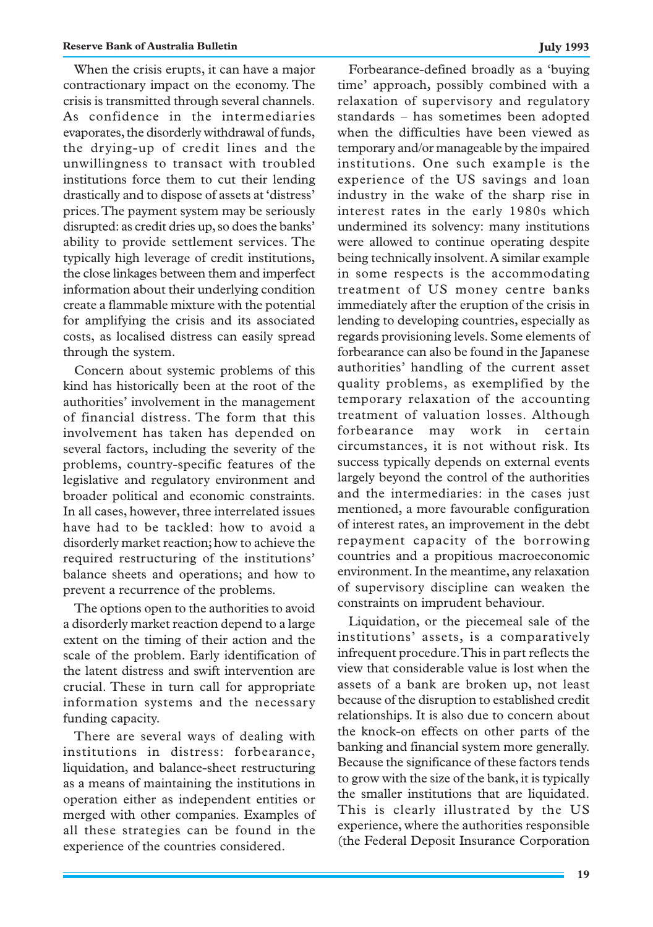When the crisis erupts, it can have a major contractionary impact on the economy. The crisis is transmitted through several channels. As confidence in the intermediaries evaporates, the disorderly withdrawal of funds, the drying-up of credit lines and the unwillingness to transact with troubled institutions force them to cut their lending drastically and to dispose of assets at 'distress' prices. The payment system may be seriously disrupted: as credit dries up, so does the banks' ability to provide settlement services. The typically high leverage of credit institutions, the close linkages between them and imperfect information about their underlying condition create a flammable mixture with the potential for amplifying the crisis and its associated costs, as localised distress can easily spread through the system.

Concern about systemic problems of this kind has historically been at the root of the authorities' involvement in the management of financial distress. The form that this involvement has taken has depended on several factors, including the severity of the problems, country-specific features of the legislative and regulatory environment and broader political and economic constraints. In all cases, however, three interrelated issues have had to be tackled: how to avoid a disorderly market reaction; how to achieve the required restructuring of the institutions' balance sheets and operations; and how to prevent a recurrence of the problems.

The options open to the authorities to avoid a disorderly market reaction depend to a large extent on the timing of their action and the scale of the problem. Early identification of the latent distress and swift intervention are crucial. These in turn call for appropriate information systems and the necessary funding capacity.

There are several ways of dealing with institutions in distress: forbearance, liquidation, and balance-sheet restructuring as a means of maintaining the institutions in operation either as independent entities or merged with other companies. Examples of all these strategies can be found in the experience of the countries considered.

Forbearance-defined broadly as a 'buying time' approach, possibly combined with a relaxation of supervisory and regulatory standards – has sometimes been adopted when the difficulties have been viewed as temporary and/or manageable by the impaired institutions. One such example is the experience of the US savings and loan industry in the wake of the sharp rise in interest rates in the early 1980s which undermined its solvency: many institutions were allowed to continue operating despite being technically insolvent. A similar example in some respects is the accommodating treatment of US money centre banks immediately after the eruption of the crisis in lending to developing countries, especially as regards provisioning levels. Some elements of forbearance can also be found in the Japanese authorities' handling of the current asset quality problems, as exemplified by the temporary relaxation of the accounting treatment of valuation losses. Although forbearance may work in certain circumstances, it is not without risk. Its success typically depends on external events largely beyond the control of the authorities and the intermediaries: in the cases just mentioned, a more favourable configuration of interest rates, an improvement in the debt repayment capacity of the borrowing countries and a propitious macroeconomic environment. In the meantime, any relaxation of supervisory discipline can weaken the constraints on imprudent behaviour.

Liquidation, or the piecemeal sale of the institutions' assets, is a comparatively infrequent procedure. This in part reflects the view that considerable value is lost when the assets of a bank are broken up, not least because of the disruption to established credit relationships. It is also due to concern about the knock-on effects on other parts of the banking and financial system more generally. Because the significance of these factors tends to grow with the size of the bank, it is typically the smaller institutions that are liquidated. This is clearly illustrated by the US experience, where the authorities responsible (the Federal Deposit Insurance Corporation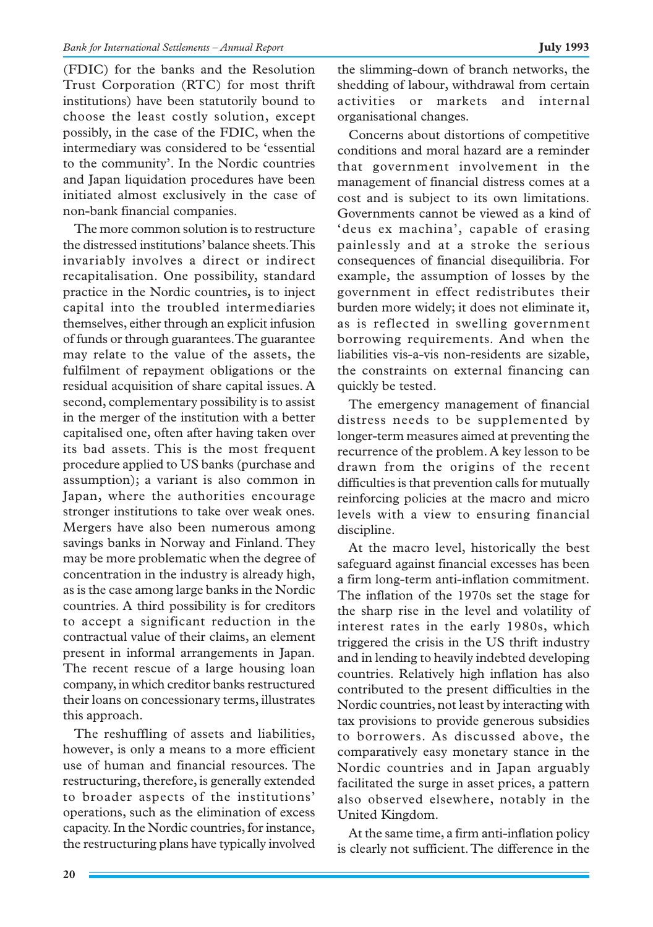(FDIC) for the banks and the Resolution Trust Corporation (RTC) for most thrift institutions) have been statutorily bound to choose the least costly solution, except possibly, in the case of the FDIC, when the intermediary was considered to be 'essential to the community'. In the Nordic countries and Japan liquidation procedures have been initiated almost exclusively in the case of non-bank financial companies.

The more common solution is to restructure the distressed institutions' balance sheets. This invariably involves a direct or indirect recapitalisation. One possibility, standard practice in the Nordic countries, is to inject capital into the troubled intermediaries themselves, either through an explicit infusion of funds or through guarantees. The guarantee may relate to the value of the assets, the fulfilment of repayment obligations or the residual acquisition of share capital issues. A second, complementary possibility is to assist in the merger of the institution with a better capitalised one, often after having taken over its bad assets. This is the most frequent procedure applied to US banks (purchase and assumption); a variant is also common in Japan, where the authorities encourage stronger institutions to take over weak ones. Mergers have also been numerous among savings banks in Norway and Finland. They may be more problematic when the degree of concentration in the industry is already high, as is the case among large banks in the Nordic countries. A third possibility is for creditors to accept a significant reduction in the contractual value of their claims, an element present in informal arrangements in Japan. The recent rescue of a large housing loan company, in which creditor banks restructured their loans on concessionary terms, illustrates this approach.

The reshuffling of assets and liabilities, however, is only a means to a more efficient use of human and financial resources. The restructuring, therefore, is generally extended to broader aspects of the institutions' operations, such as the elimination of excess capacity. In the Nordic countries, for instance, the restructuring plans have typically involved the slimming-down of branch networks, the shedding of labour, withdrawal from certain activities or markets and internal organisational changes.

Concerns about distortions of competitive conditions and moral hazard are a reminder that government involvement in the management of financial distress comes at a cost and is subject to its own limitations. Governments cannot be viewed as a kind of 'deus ex machina', capable of erasing painlessly and at a stroke the serious consequences of financial disequilibria. For example, the assumption of losses by the government in effect redistributes their burden more widely; it does not eliminate it, as is reflected in swelling government borrowing requirements. And when the liabilities vis-a-vis non-residents are sizable, the constraints on external financing can quickly be tested.

The emergency management of financial distress needs to be supplemented by longer-term measures aimed at preventing the recurrence of the problem. A key lesson to be drawn from the origins of the recent difficulties is that prevention calls for mutually reinforcing policies at the macro and micro levels with a view to ensuring financial discipline.

At the macro level, historically the best safeguard against financial excesses has been a firm long-term anti-inflation commitment. The inflation of the 1970s set the stage for the sharp rise in the level and volatility of interest rates in the early 1980s, which triggered the crisis in the US thrift industry and in lending to heavily indebted developing countries. Relatively high inflation has also contributed to the present difficulties in the Nordic countries, not least by interacting with tax provisions to provide generous subsidies to borrowers. As discussed above, the comparatively easy monetary stance in the Nordic countries and in Japan arguably facilitated the surge in asset prices, a pattern also observed elsewhere, notably in the United Kingdom.

At the same time, a firm anti-inflation policy is clearly not sufficient. The difference in the